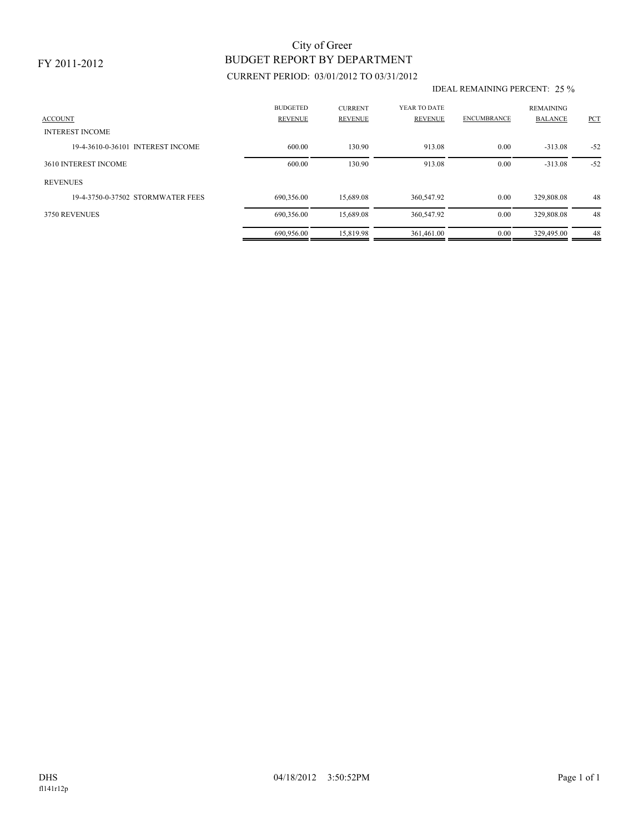### FY 2011-2012

# BUDGET REPORT BY DEPARTMENT City of Greer

## CURRENT PERIOD: 03/01/2012 TO 03/31/2012

#### IDEAL REMAINING PERCENT: 25 %

| <b>ACCOUNT</b>                    | <b>BUDGETED</b><br><b>REVENUE</b> | <b>CURRENT</b><br><b>REVENUE</b> | YEAR TO DATE<br><b>REVENUE</b> | <b>ENCUMBRANCE</b> | <b>REMAINING</b><br><b>BALANCE</b> | PCT   |
|-----------------------------------|-----------------------------------|----------------------------------|--------------------------------|--------------------|------------------------------------|-------|
| <b>INTEREST INCOME</b>            |                                   |                                  |                                |                    |                                    |       |
| 19-4-3610-0-36101 INTEREST INCOME | 600.00                            | 130.90                           | 913.08                         | 0.00               | $-313.08$                          | $-52$ |
| 3610 INTEREST INCOME              | 600.00                            | 130.90                           | 913.08                         | 0.00               | $-313.08$                          | $-52$ |
| <b>REVENUES</b>                   |                                   |                                  |                                |                    |                                    |       |
| 19-4-3750-0-37502 STORMWATER FEES | 690,356.00                        | 15.689.08                        | 360,547.92                     | 0.00               | 329,808.08                         | 48    |
| 3750 REVENUES                     | 690,356.00                        | 15,689.08                        | 360,547.92                     | 0.00               | 329,808.08                         | 48    |
|                                   | 690.956.00                        | 15.819.98                        | 361.461.00                     | 0.00               | 329,495.00                         | 48    |